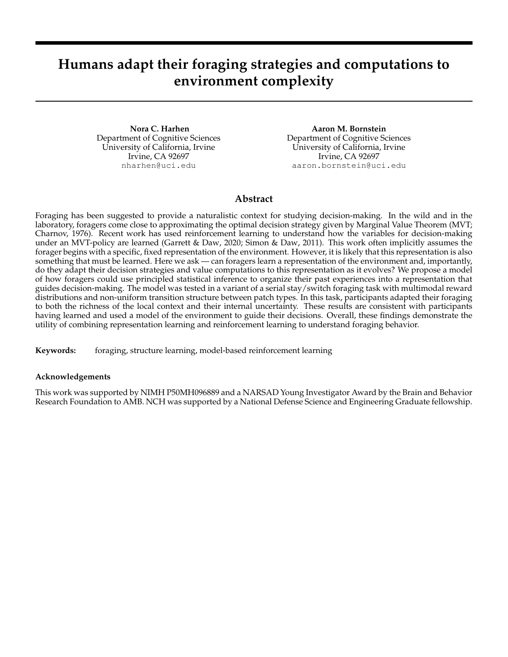# **Humans adapt their foraging strategies and computations to environment complexity**

**Nora C. Harhen** Department of Cognitive Sciences University of California, Irvine Irvine, CA 92697 nharhen@uci.edu

**Aaron M. Bornstein** Department of Cognitive Sciences University of California, Irvine Irvine, CA 92697 aaron.bornstein@uci.edu

# **Abstract**

Foraging has been suggested to provide a naturalistic context for studying decision-making. In the wild and in the laboratory, foragers come close to approximating the optimal decision strategy given by Marginal Value Theorem (MVT; Charnov, 1976). Recent work has used reinforcement learning to understand how the variables for decision-making under an MVT-policy are learned (Garrett & Daw, 2020; Simon & Daw, 2011). This work often implicitly assumes the forager begins with a specific, fixed representation of the environment. However, it is likely that this representation is also something that must be learned. Here we ask — can foragers learn a representation of the environment and, importantly, do they adapt their decision strategies and value computations to this representation as it evolves? We propose a model of how foragers could use principled statistical inference to organize their past experiences into a representation that guides decision-making. The model was tested in a variant of a serial stay/switch foraging task with multimodal reward distributions and non-uniform transition structure between patch types. In this task, participants adapted their foraging to both the richness of the local context and their internal uncertainty. These results are consistent with participants having learned and used a model of the environment to guide their decisions. Overall, these findings demonstrate the utility of combining representation learning and reinforcement learning to understand foraging behavior.

**Keywords:** foraging, structure learning, model-based reinforcement learning

#### **Acknowledgements**

This work was supported by NIMH P50MH096889 and a NARSAD Young Investigator Award by the Brain and Behavior Research Foundation to AMB. NCH was supported by a National Defense Science and Engineering Graduate fellowship.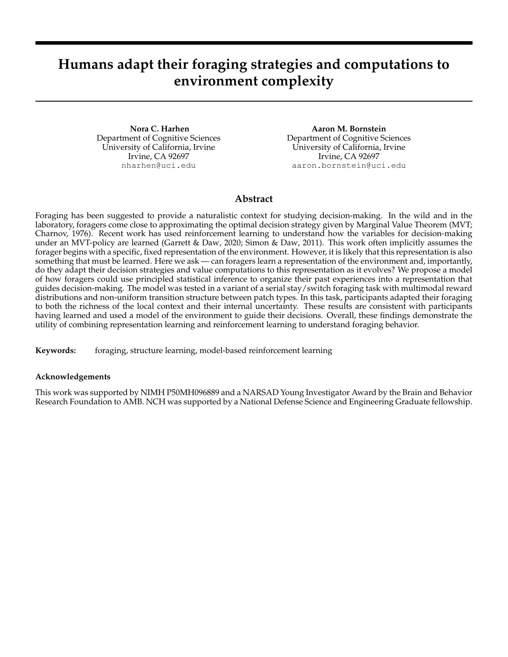# **1 Introduction**

Decision-makers commonly choose between staying with a current option or foregoing it in hope of a better future alternative. Such decisions arise in ethology where they are known as patch leaving problems in which a patch refers to a concentration of resources in the environment. In solving these problems, foragers must weigh the the costs and benefits of harvesting an often depleting resource against those associated with searching for a new, unharvested one. An optimal solution is given by Marginal Value Theorem under a certain set of assumptions (MVT; Charnov, 1976) — a forager should leave the current depleting patch once its reward rate falls below the overall reward rate of the environment. Relative to MVT, it's been widely observed that foragers from rodents to humans stay longer than prescribed (Blanchard & Hayden, 2015; Constantino & Daw, 2015; Kane et al., 2019). This is known as overharvesting.

MVT's predictions assume the forager has complete knowledge of the environment and its dynamics. Consequently, MVT provides how the decision should be made, but it does not explicitly describe how its key decision variables, the local and global reward rates, should be learned. However, this assumption of complete knowledge is not often met in the real world. This suggests more naturalistic patching leaving is both a decision-making and a learning problem. A potential simple learning rule involves keeping a running average of rewards across all past patch experiences in the environment (Constantino & Daw, 2015).

These simple learning rules work well in simple, homogeneous environments in which patches are similar to one another. However, real world environments are often complex with regions varying in richness (McNamara & Houston, 1985; Sparrow, 1999). In more naturalistic environments, it may be beneficial to group patches of similar richness together to form a multi-state representation that affords contextually-appropriate and dynamic estimates of the local and global reward rates. In standard reinforcement settings, humans use a similar strategy — they track environmental statistics and leverage them to adaptively adjust reward-related computations (Behrens, Woolrich, Walton, & Rushworth, 2007; Simon & Daw, 2011). Thus, we asked — in a foraging context, do decision-makers learn an internal representation of the environment and adapt their strategies and computations with respect to it? We propose a model of how foragers may incrementally build such a representation from past experiences and use it during decision-making. We then test its predictions with a novel serial stay-switch task.

# **2 Latent Cause Model**

#### **2.1 Learning a state representation of the environment**

Latent-cause inference provides a framework for building state space representations out of past experiences (Courville, Daw, & Touretzky, 2006; Gershman, Norman, & Niv, 2015). Under this framework, representation learning is treated as a clustering problem in which an experience is assigned to a pre-existing cluster based on its similarity to experiences previously assigned to the cluster. In a new environment, the learner begins with a single cluster, or state, to which experiences can belong. New experiences that differ significantly from past ones can initiate the creation of a new cluster. Thus, the complexity of the representation is allowed to grow incrementally as experience warrants it. Through principled statistical learning, the learner develops a representation with a useful number of clusters — enough to allow for contextually-specific predictions but few enough to enable generalization across experiences.

Within a foraging context, past experiences could correspond to reward decays experienced while harvesting patches and states to patch types that differ in their richness. To infer the current patch type or state, the observer must combine their past experiences with current experience. The prior probability of a patch belonging to a patch type,  $p$ , at time t is given by:

$$
P(p) = \begin{cases} \frac{N_p}{t-1+} & \text{if } p \text{ is an old patch type} \\ \frac{1}{t-1+} & \text{if } p \text{ is a new patch type} \end{cases}
$$
 (1)

Where  $N_p$  is the number of patches already assigned to that patch type and is the prior over environment complexity. This formally instantiates the assumptions that 1) the current patch type is more likely to be a frequently visited one and 2) there always remains some probability that a new patch belongs to a previously unobserved patch type. In our model, we allow the structure learning parameter, , to be a free parameter fit to individual participants' choice data.

A set of reward decays at time t,  $D_t$ , can be combined with the prior probability specified in Equation 1 to generate a posterior distribution over patch types.

$$
P(p_t|D_t) = \frac{P(D_t|p_t)P(p_t)}{p(D_t)}
$$
\n(2)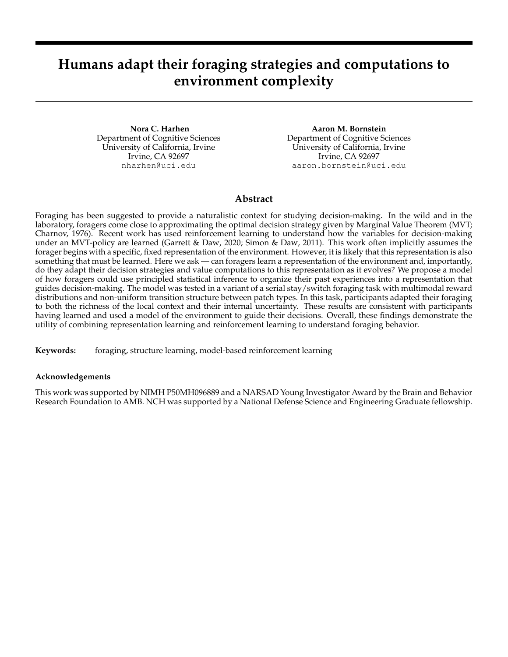

Figure 1: Task structure. **A.** Participants sequentially decided whether to stay dig from a depleting gem mine or incurring a time cost to leave for a new planet with a replenished mine. **B.** The decay rate distributions associated with rich, neutral, and poor planet types and and transition probabilities between planet types when leaving for a new planet.

where  $p_t$  is a potential patch type. Each patch type has a unique distribution over decay rates associated with it that determines  $P(D_t|p_t)$ .

Exact computation of this posterior is computationally demanding, so we use particle filtering as an approximate inference algorithm (Gershman et al., 2015; Sanborn, Griffiths, & Navarro, 2006). Harhen, Hartley, and Bornstein (2021) contains further implementation details.

#### **2.2 Using structure to inform stay/leave decisions**

The forager compares the value of staying and leaving and selects the higher-valued option. The value of staying is taken as the reward received on the last harvest,  $r_t$ , multiplied by the predicted decay rate,  $\hat{d}$ , if the forager were to stay again.

$$
V_{stay} = r_t \quad \hat{d} \tag{3}
$$

To generate  $\hat{d}$  the agent samples from patch type-specific decay rate distributions. The probability of sampling from a planet type is proportional to its posterior probability of the current planet belonging to that cluster,  $P(p_t|D_t)$ .

The value of leaving is estimated by averaging over the reward rates from all previously encountered patches discounted by some factor, .

$$
V_{leave} = \frac{r_{total}}{t_{total}} t_{harvest}
$$
 (4)

Theoretical work has suggested that discounting factors that adapt to an agent's internal uncertainty can be beneficial in complex environments (Jiang, Kulesza, Singh, & Lewis, 2015). Following this, we allow to be dynamic, flexibly adjusting to the individual's uncertainty over the accuracy of their internal representation. Here, we compute uncertainty as being proportional to the entropy of the samples drawn to generate,  $\hat{d}$ .

We compared this structure learning model to two models previously used to explain human foraging behavior in Constantino & Daw (2015) – a temporal difference learning model (TD) and a MVT learning model that learns the mean decay rate and global reward rate of the environment (MVT learn). Each model's fit to the data was evaluated using a 10-fold cross validation procedure. For each participant, we shuffled their PRTs on all visited planets and split them into 10 separate training/test datasets. The best fitting parameters were those that minimized the sum of squared error (SSE) between the participant's PRT and the model's predicted PRT on each planet in the training set. Then, with the held out test dataset, the model was simulated with the best fitting parameters and the SSE was calculated between the participant's true PRT and the model's PRT. To compute the model's final cross validation score, we summed over the test SSE from each fold.

#### **3 Methods**

We tested whether participants could learn an internal representation of a three patch type environment and use it to guide their foraging decisions. Past human foraging work has focused on either single patch type environments or multipatch type environments in which patch types of differing richness are blocked off from one another. To more closely mimic real world conditions, we interleaved the three patch types and did not indicate that patches could differ from one another.